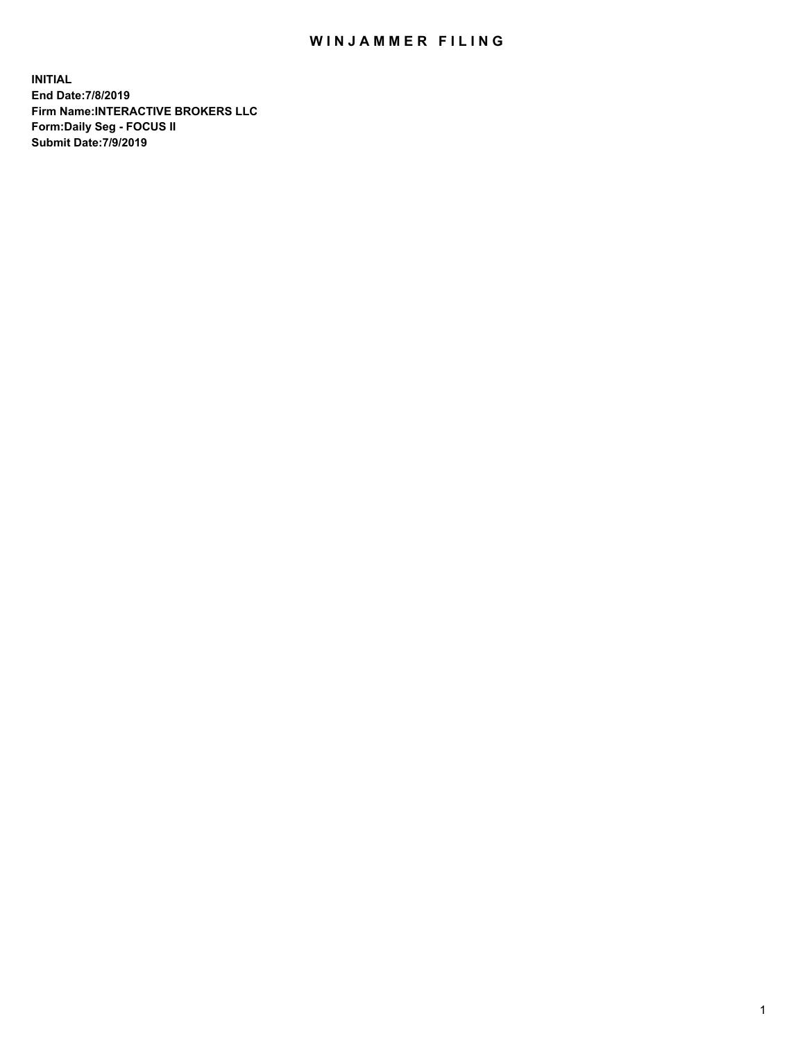## WIN JAMMER FILING

**INITIAL End Date:7/8/2019 Firm Name:INTERACTIVE BROKERS LLC Form:Daily Seg - FOCUS II Submit Date:7/9/2019**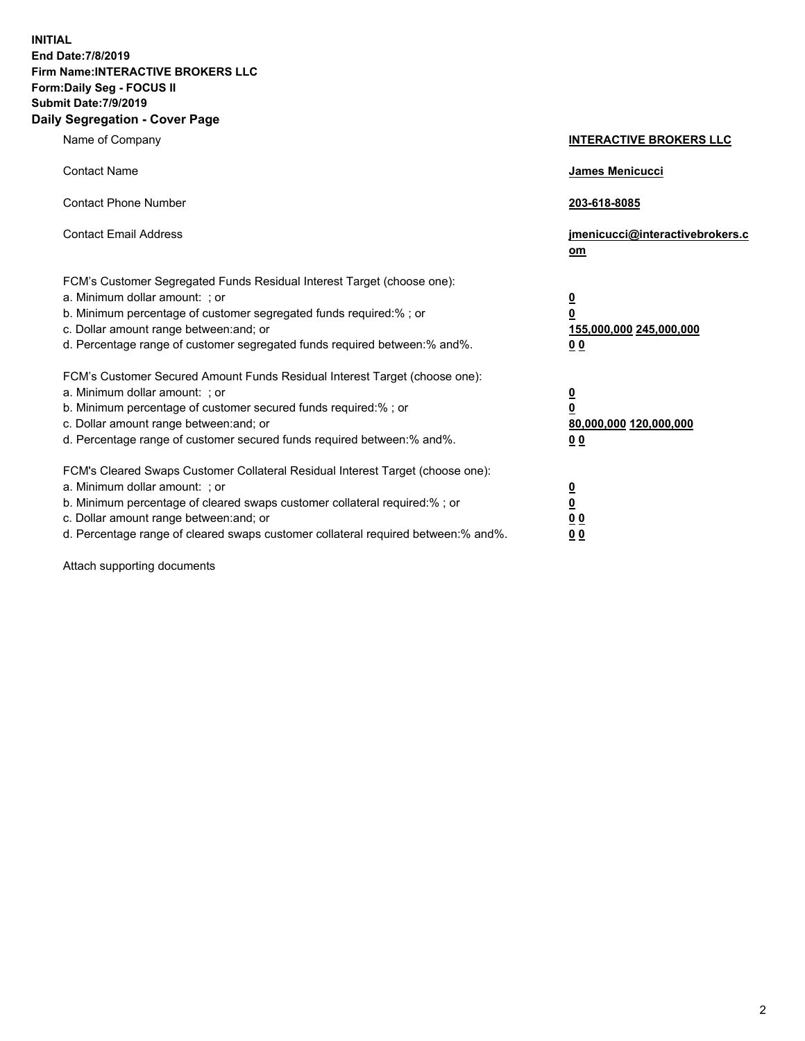**INITIAL End Date:7/8/2019 Firm Name:INTERACTIVE BROKERS LLC Form:Daily Seg - FOCUS II Submit Date:7/9/2019 Daily Segregation - Cover Page**

| Name of Company                                                                                                                                                                                                                                                                                                                | <b>INTERACTIVE BROKERS LLC</b>                                                                  |
|--------------------------------------------------------------------------------------------------------------------------------------------------------------------------------------------------------------------------------------------------------------------------------------------------------------------------------|-------------------------------------------------------------------------------------------------|
| <b>Contact Name</b>                                                                                                                                                                                                                                                                                                            | <b>James Menicucci</b>                                                                          |
| <b>Contact Phone Number</b>                                                                                                                                                                                                                                                                                                    | 203-618-8085                                                                                    |
| <b>Contact Email Address</b>                                                                                                                                                                                                                                                                                                   | jmenicucci@interactivebrokers.c<br>om                                                           |
| FCM's Customer Segregated Funds Residual Interest Target (choose one):<br>a. Minimum dollar amount: ; or<br>b. Minimum percentage of customer segregated funds required:% ; or<br>c. Dollar amount range between: and; or<br>d. Percentage range of customer segregated funds required between:% and%.                         | $\overline{\mathbf{0}}$<br>$\overline{\mathbf{0}}$<br>155,000,000 245,000,000<br>0 <sub>0</sub> |
| FCM's Customer Secured Amount Funds Residual Interest Target (choose one):<br>a. Minimum dollar amount: ; or<br>b. Minimum percentage of customer secured funds required:%; or<br>c. Dollar amount range between: and; or<br>d. Percentage range of customer secured funds required between:% and%.                            | $\overline{\mathbf{0}}$<br>$\mathbf 0$<br>80,000,000 120,000,000<br>0 <sub>0</sub>              |
| FCM's Cleared Swaps Customer Collateral Residual Interest Target (choose one):<br>a. Minimum dollar amount: ; or<br>b. Minimum percentage of cleared swaps customer collateral required:% ; or<br>c. Dollar amount range between: and; or<br>d. Percentage range of cleared swaps customer collateral required between:% and%. | $\overline{\mathbf{0}}$<br>$\underline{\mathbf{0}}$<br>0 <sub>0</sub><br>00                     |

Attach supporting documents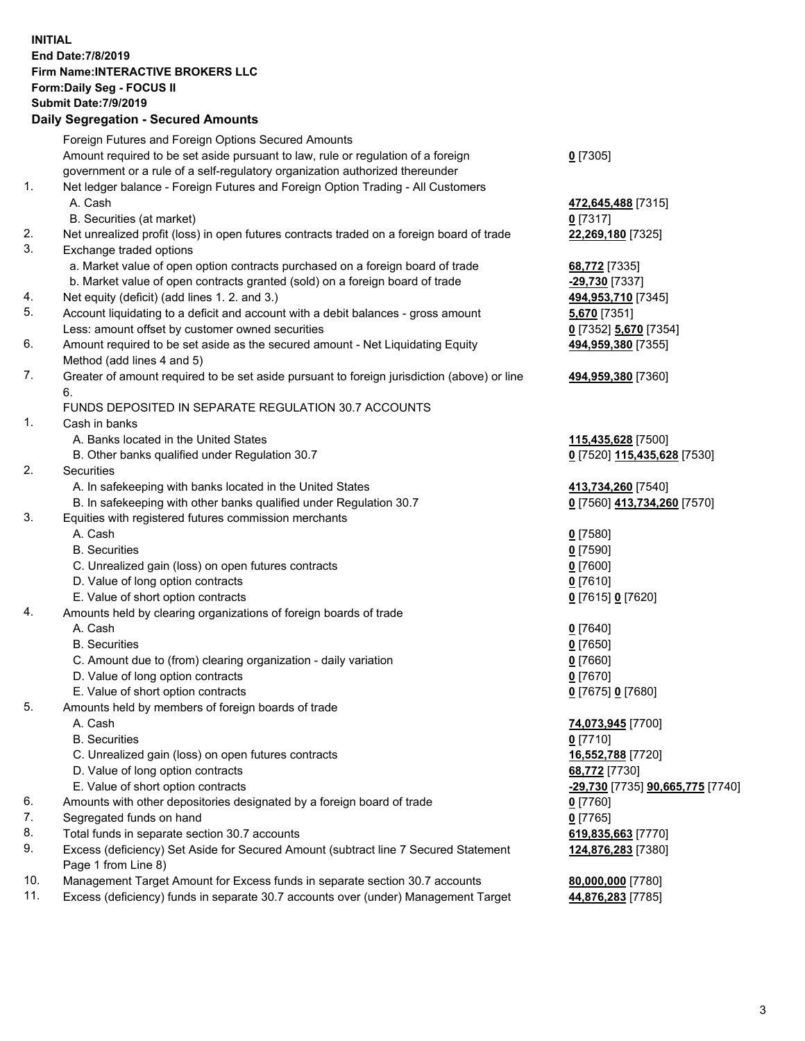## **INITIAL End Date:7/8/2019 Firm Name:INTERACTIVE BROKERS LLC Form:Daily Seg - FOCUS II Submit Date:7/9/2019 Daily Segregation - Secured Amounts**

|     | 2011, Ocgi ogation - Oceaned Anioanita                                                                     |                                                      |
|-----|------------------------------------------------------------------------------------------------------------|------------------------------------------------------|
|     | Foreign Futures and Foreign Options Secured Amounts                                                        |                                                      |
|     | Amount required to be set aside pursuant to law, rule or regulation of a foreign                           | $0$ [7305]                                           |
|     | government or a rule of a self-regulatory organization authorized thereunder                               |                                                      |
| 1.  | Net ledger balance - Foreign Futures and Foreign Option Trading - All Customers                            |                                                      |
|     | A. Cash                                                                                                    | 472,645,488 [7315]                                   |
|     | B. Securities (at market)                                                                                  | $0$ [7317]                                           |
| 2.  | Net unrealized profit (loss) in open futures contracts traded on a foreign board of trade                  | 22,269,180 [7325]                                    |
| 3.  | Exchange traded options                                                                                    |                                                      |
|     | a. Market value of open option contracts purchased on a foreign board of trade                             | 68,772 [7335]                                        |
|     | b. Market value of open contracts granted (sold) on a foreign board of trade                               | -29,730 [7337]                                       |
| 4.  | Net equity (deficit) (add lines 1. 2. and 3.)                                                              | 494,953,710 [7345]                                   |
| 5.  | Account liquidating to a deficit and account with a debit balances - gross amount                          | <b>5,670</b> [7351]                                  |
|     | Less: amount offset by customer owned securities                                                           | 0 [7352] 5,670 [7354]                                |
| 6.  | Amount required to be set aside as the secured amount - Net Liquidating Equity                             | 494,959,380 [7355]                                   |
|     | Method (add lines 4 and 5)                                                                                 |                                                      |
| 7.  | Greater of amount required to be set aside pursuant to foreign jurisdiction (above) or line                | 494,959,380 [7360]                                   |
|     | 6.                                                                                                         |                                                      |
|     | FUNDS DEPOSITED IN SEPARATE REGULATION 30.7 ACCOUNTS                                                       |                                                      |
| 1.  | Cash in banks                                                                                              |                                                      |
|     | A. Banks located in the United States                                                                      | 115,435,628 [7500]                                   |
|     | B. Other banks qualified under Regulation 30.7                                                             | 0 [7520] 115,435,628 [7530]                          |
| 2.  | Securities                                                                                                 |                                                      |
|     | A. In safekeeping with banks located in the United States                                                  | 413,734,260 [7540]                                   |
|     | B. In safekeeping with other banks qualified under Regulation 30.7                                         | 0 [7560] 413,734,260 [7570]                          |
| 3.  | Equities with registered futures commission merchants                                                      |                                                      |
|     | A. Cash                                                                                                    | $0$ [7580]                                           |
|     | <b>B.</b> Securities                                                                                       | $0$ [7590]                                           |
|     | C. Unrealized gain (loss) on open futures contracts                                                        | $0$ [7600]                                           |
|     | D. Value of long option contracts                                                                          | $0$ [7610]                                           |
|     | E. Value of short option contracts                                                                         | 0 [7615] 0 [7620]                                    |
| 4.  | Amounts held by clearing organizations of foreign boards of trade                                          |                                                      |
|     | A. Cash                                                                                                    | $0$ [7640]                                           |
|     | <b>B.</b> Securities                                                                                       | $0$ [7650]                                           |
|     | C. Amount due to (from) clearing organization - daily variation                                            | $0$ [7660]                                           |
|     | D. Value of long option contracts                                                                          | $0$ [7670]                                           |
|     | E. Value of short option contracts                                                                         | 0 [7675] 0 [7680]                                    |
| 5.  | Amounts held by members of foreign boards of trade                                                         |                                                      |
|     | A. Cash                                                                                                    | 74,073,945 [7700]                                    |
|     | <b>B.</b> Securities                                                                                       | $0$ [7710]                                           |
|     | C. Unrealized gain (loss) on open futures contracts                                                        | 16,552,788 [7720]                                    |
|     | D. Value of long option contracts                                                                          | 68,772 [7730]                                        |
|     | E. Value of short option contracts                                                                         | <mark>-29,730</mark> [7735] <b>90,665,775</b> [7740] |
| 6.  | Amounts with other depositories designated by a foreign board of trade                                     | 0 [7760]                                             |
| 7.  | Segregated funds on hand                                                                                   | $0$ [7765]                                           |
| 8.  | Total funds in separate section 30.7 accounts                                                              | 619,835,663 [7770]                                   |
| 9.  | Excess (deficiency) Set Aside for Secured Amount (subtract line 7 Secured Statement<br>Page 1 from Line 8) | 124,876,283 [7380]                                   |
| 10. | Management Target Amount for Excess funds in separate section 30.7 accounts                                | 80,000,000 [7780]                                    |
| 11. | Excess (deficiency) funds in separate 30.7 accounts over (under) Management Target                         | 44,876,283 [7785]                                    |
|     |                                                                                                            |                                                      |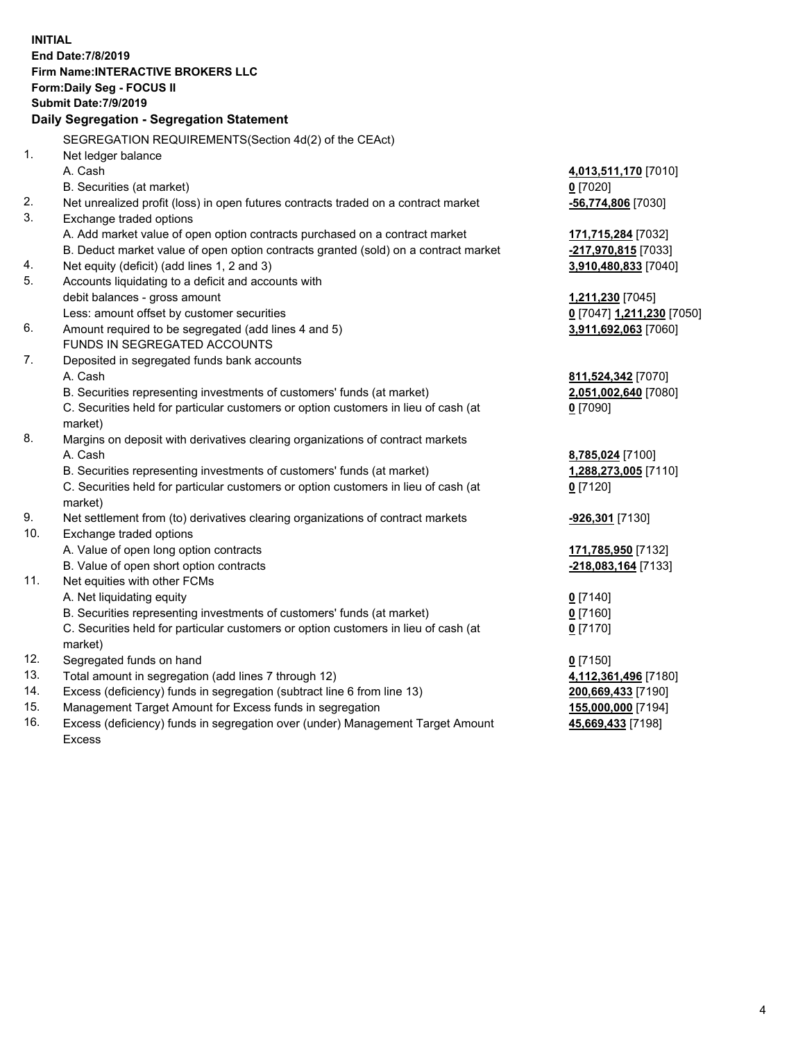**INITIAL End Date:7/8/2019 Firm Name:INTERACTIVE BROKERS LLC Form:Daily Seg - FOCUS II Submit Date:7/9/2019 Daily Segregation - Segregation Statement** SEGREGATION REQUIREMENTS(Section 4d(2) of the CEAct) 1. Net ledger balance A. Cash **4,013,511,170** [7010] B. Securities (at market) **0** [7020] 2. Net unrealized profit (loss) in open futures contracts traded on a contract market **-56,774,806** [7030] 3. Exchange traded options A. Add market value of open option contracts purchased on a contract market **171,715,284** [7032] B. Deduct market value of open option contracts granted (sold) on a contract market **-217,970,815** [7033] 4. Net equity (deficit) (add lines 1, 2 and 3) **3,910,480,833** [7040] 5. Accounts liquidating to a deficit and accounts with debit balances - gross amount **1,211,230** [7045] Less: amount offset by customer securities **0** [7047] **1,211,230** [7050] 6. Amount required to be segregated (add lines 4 and 5) **3,911,692,063** [7060] FUNDS IN SEGREGATED ACCOUNTS 7. Deposited in segregated funds bank accounts A. Cash **811,524,342** [7070] B. Securities representing investments of customers' funds (at market) **2,051,002,640** [7080] C. Securities held for particular customers or option customers in lieu of cash (at market) **0** [7090] 8. Margins on deposit with derivatives clearing organizations of contract markets A. Cash **8,785,024** [7100] B. Securities representing investments of customers' funds (at market) **1,288,273,005** [7110] C. Securities held for particular customers or option customers in lieu of cash (at market) **0** [7120] 9. Net settlement from (to) derivatives clearing organizations of contract markets **-926,301** [7130] 10. Exchange traded options A. Value of open long option contracts **171,785,950** [7132] B. Value of open short option contracts **-218,083,164** [7133] 11. Net equities with other FCMs A. Net liquidating equity **0** [7140] B. Securities representing investments of customers' funds (at market) **0** [7160] C. Securities held for particular customers or option customers in lieu of cash (at market) **0** [7170] 12. Segregated funds on hand **0** [7150] 13. Total amount in segregation (add lines 7 through 12) **4,112,361,496** [7180] 14. Excess (deficiency) funds in segregation (subtract line 6 from line 13) **200,669,433** [7190] 15. Management Target Amount for Excess funds in segregation **155,000,000** [7194] **45,669,433** [7198]

16. Excess (deficiency) funds in segregation over (under) Management Target Amount Excess